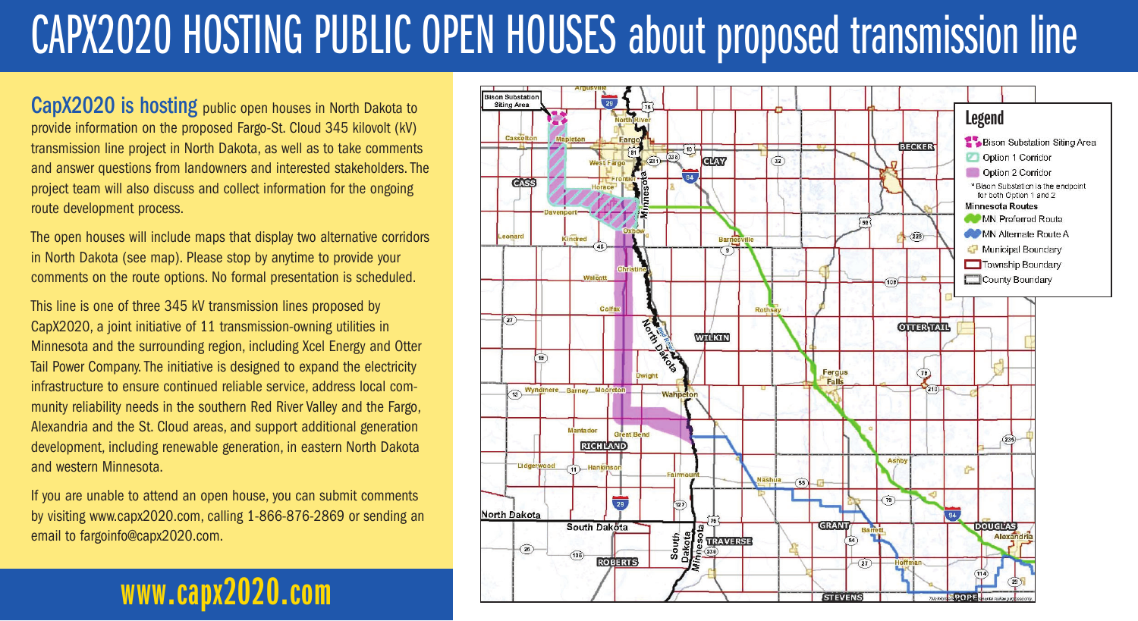# CAPX2020 HOSTING PUBLIC OPEN HOUSES about proposed transmission line

CapX2020 is hosting public open houses in North Dakota to provide information on the proposed Fargo-St. Cloud 345 kilovolt (kV) transmission line project in North Dakota, as well as to take comments and answer questions from landowners and interested stakeholders. The project team will also discuss and collect information for the ongoing route development process.

The open houses will include maps that display two alternative corridors in North Dakota (see map). Please stop by anytime to provide your comments on the route options. No formal presentation is scheduled.

This line is one of three 345 kV transmission lines proposed by CapX2020, a joint initiative of 11 transmission-owning utilities in Minnesota and the surrounding region, including Xcel Energy and Otter Tail Power Company. The initiative is designed to expand the electricity infrastructure to ensure continued reliable service, address local community reliability needs in the southern Red River Valley and the Fargo, Alexandria and the St. Cloud areas, and support additional generation development, including renewable generation, in eastern North Dakota and western Minnesota.

If you are unable to attend an open house, you can submit comments by visiting www.capx2020.com, calling 1-866-876-2869 or sending an email to fargoinfo@capx2020.com.

## **www.capx2020.com**